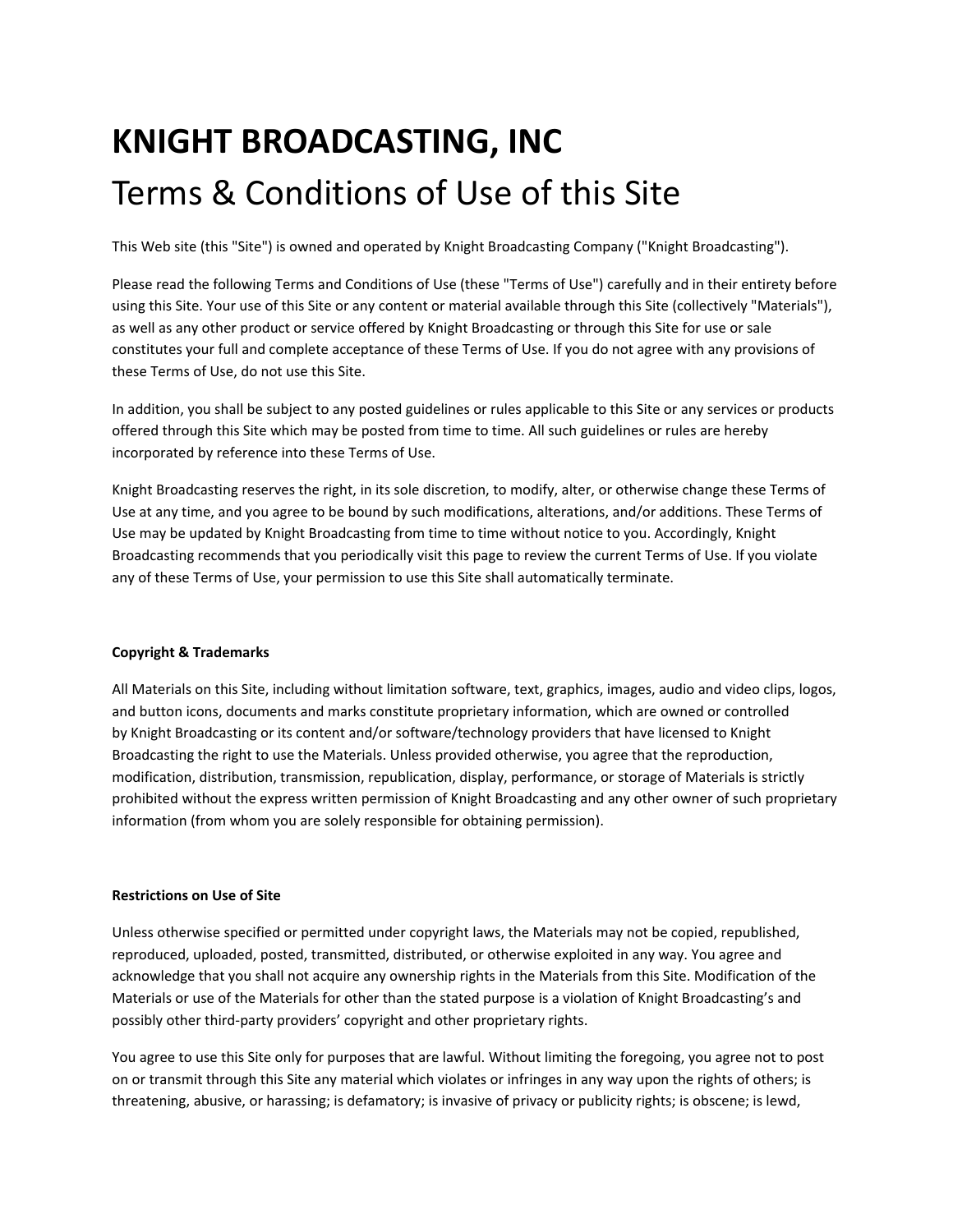# **KNIGHT BROADCASTING, INC** Terms & Conditions of Use of this Site

This Web site (this "Site") is owned and operated by Knight Broadcasting Company ("Knight Broadcasting").

Please read the following Terms and Conditions of Use (these "Terms of Use") carefully and in their entirety before using this Site. Your use of this Site or any content or material available through this Site (collectively "Materials"), as well as any other product or service offered by Knight Broadcasting or through this Site for use or sale constitutes your full and complete acceptance of these Terms of Use. If you do not agree with any provisions of these Terms of Use, do not use this Site.

In addition, you shall be subject to any posted guidelines or rules applicable to this Site or any services or products offered through this Site which may be posted from time to time. All such guidelines or rules are hereby incorporated by reference into these Terms of Use.

Knight Broadcasting reserves the right, in its sole discretion, to modify, alter, or otherwise change these Terms of Use at any time, and you agree to be bound by such modifications, alterations, and/or additions. These Terms of Use may be updated by Knight Broadcasting from time to time without notice to you. Accordingly, Knight Broadcasting recommends that you periodically visit this page to review the current Terms of Use. If you violate any of these Terms of Use, your permission to use this Site shall automatically terminate.

# **Copyright & Trademarks**

All Materials on this Site, including without limitation software, text, graphics, images, audio and video clips, logos, and button icons, documents and marks constitute proprietary information, which are owned or controlled by Knight Broadcasting or its content and/or software/technology providers that have licensed to Knight Broadcasting the right to use the Materials. Unless provided otherwise, you agree that the reproduction, modification, distribution, transmission, republication, display, performance, or storage of Materials is strictly prohibited without the express written permission of Knight Broadcasting and any other owner of such proprietary information (from whom you are solely responsible for obtaining permission).

# **Restrictions on Use of Site**

Unless otherwise specified or permitted under copyright laws, the Materials may not be copied, republished, reproduced, uploaded, posted, transmitted, distributed, or otherwise exploited in any way. You agree and acknowledge that you shall not acquire any ownership rights in the Materials from this Site. Modification of the Materials or use of the Materials for other than the stated purpose is a violation of Knight Broadcasting's and possibly other third‐party providers' copyright and other proprietary rights.

You agree to use this Site only for purposes that are lawful. Without limiting the foregoing, you agree not to post on or transmit through this Site any material which violates or infringes in any way upon the rights of others; is threatening, abusive, or harassing; is defamatory; is invasive of privacy or publicity rights; is obscene; is lewd,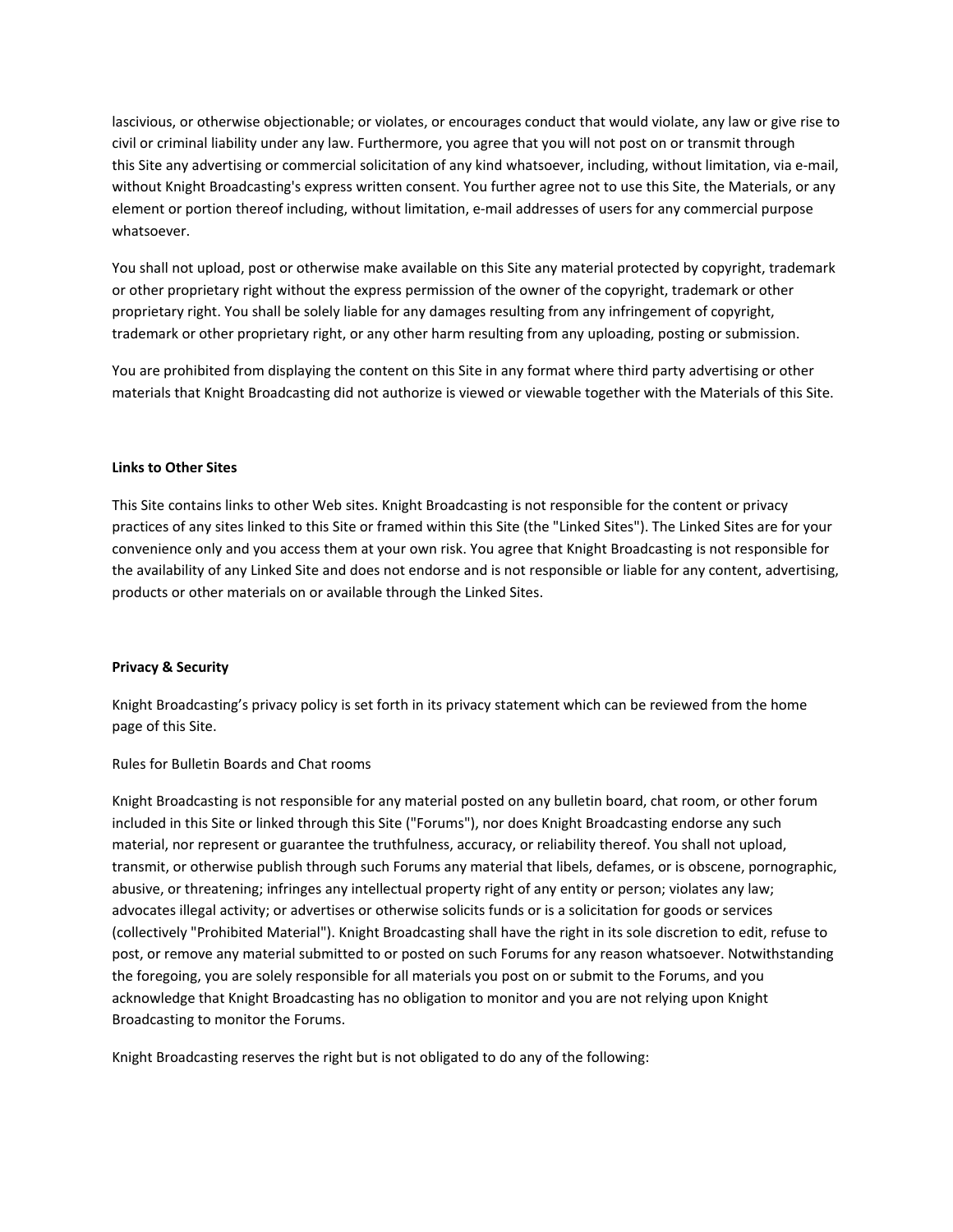lascivious, or otherwise objectionable; or violates, or encourages conduct that would violate, any law or give rise to civil or criminal liability under any law. Furthermore, you agree that you will not post on or transmit through this Site any advertising or commercial solicitation of any kind whatsoever, including, without limitation, via e‐mail, without Knight Broadcasting's express written consent. You further agree not to use this Site, the Materials, or any element or portion thereof including, without limitation, e‐mail addresses of users for any commercial purpose whatsoever.

You shall not upload, post or otherwise make available on this Site any material protected by copyright, trademark or other proprietary right without the express permission of the owner of the copyright, trademark or other proprietary right. You shall be solely liable for any damages resulting from any infringement of copyright, trademark or other proprietary right, or any other harm resulting from any uploading, posting or submission.

You are prohibited from displaying the content on this Site in any format where third party advertising or other materials that Knight Broadcasting did not authorize is viewed or viewable together with the Materials of this Site.

### **Links to Other Sites**

This Site contains links to other Web sites. Knight Broadcasting is not responsible for the content or privacy practices of any sites linked to this Site or framed within this Site (the "Linked Sites"). The Linked Sites are for your convenience only and you access them at your own risk. You agree that Knight Broadcasting is not responsible for the availability of any Linked Site and does not endorse and is not responsible or liable for any content, advertising, products or other materials on or available through the Linked Sites.

### **Privacy & Security**

Knight Broadcasting's privacy policy is set forth in its privacy statement which can be reviewed from the home page of this Site.

### Rules for Bulletin Boards and Chat rooms

Knight Broadcasting is not responsible for any material posted on any bulletin board, chat room, or other forum included in this Site or linked through this Site ("Forums"), nor does Knight Broadcasting endorse any such material, nor represent or guarantee the truthfulness, accuracy, or reliability thereof. You shall not upload, transmit, or otherwise publish through such Forums any material that libels, defames, or is obscene, pornographic, abusive, or threatening; infringes any intellectual property right of any entity or person; violates any law; advocates illegal activity; or advertises or otherwise solicits funds or is a solicitation for goods or services (collectively "Prohibited Material"). Knight Broadcasting shall have the right in its sole discretion to edit, refuse to post, or remove any material submitted to or posted on such Forums for any reason whatsoever. Notwithstanding the foregoing, you are solely responsible for all materials you post on or submit to the Forums, and you acknowledge that Knight Broadcasting has no obligation to monitor and you are not relying upon Knight Broadcasting to monitor the Forums.

Knight Broadcasting reserves the right but is not obligated to do any of the following: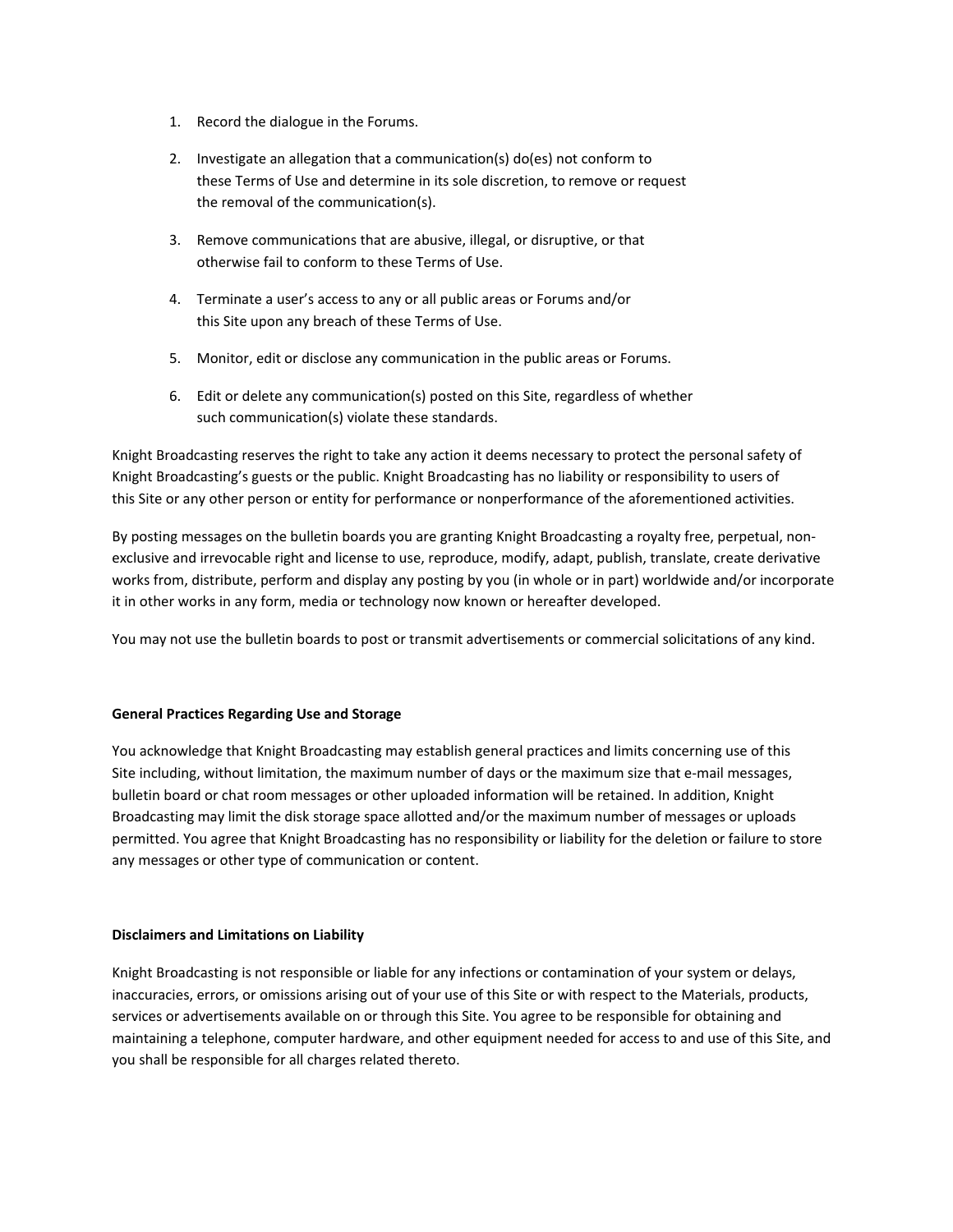- 1. Record the dialogue in the Forums.
- 2. Investigate an allegation that a communication(s) do(es) not conform to these Terms of Use and determine in its sole discretion, to remove or request the removal of the communication(s).
- 3. Remove communications that are abusive, illegal, or disruptive, or that otherwise fail to conform to these Terms of Use.
- 4. Terminate a user's access to any or all public areas or Forums and/or this Site upon any breach of these Terms of Use.
- 5. Monitor, edit or disclose any communication in the public areas or Forums.
- 6. Edit or delete any communication(s) posted on this Site, regardless of whether such communication(s) violate these standards.

Knight Broadcasting reserves the right to take any action it deems necessary to protect the personal safety of Knight Broadcasting's guests or the public. Knight Broadcasting has no liability or responsibility to users of this Site or any other person or entity for performance or nonperformance of the aforementioned activities.

By posting messages on the bulletin boards you are granting Knight Broadcasting a royalty free, perpetual, non‐ exclusive and irrevocable right and license to use, reproduce, modify, adapt, publish, translate, create derivative works from, distribute, perform and display any posting by you (in whole or in part) worldwide and/or incorporate it in other works in any form, media or technology now known or hereafter developed.

You may not use the bulletin boards to post or transmit advertisements or commercial solicitations of any kind.

# **General Practices Regarding Use and Storage**

You acknowledge that Knight Broadcasting may establish general practices and limits concerning use of this Site including, without limitation, the maximum number of days or the maximum size that e-mail messages, bulletin board or chat room messages or other uploaded information will be retained. In addition, Knight Broadcasting may limit the disk storage space allotted and/or the maximum number of messages or uploads permitted. You agree that Knight Broadcasting has no responsibility or liability for the deletion or failure to store any messages or other type of communication or content.

# **Disclaimers and Limitations on Liability**

Knight Broadcasting is not responsible or liable for any infections or contamination of your system or delays, inaccuracies, errors, or omissions arising out of your use of this Site or with respect to the Materials, products, services or advertisements available on or through this Site. You agree to be responsible for obtaining and maintaining a telephone, computer hardware, and other equipment needed for access to and use of this Site, and you shall be responsible for all charges related thereto.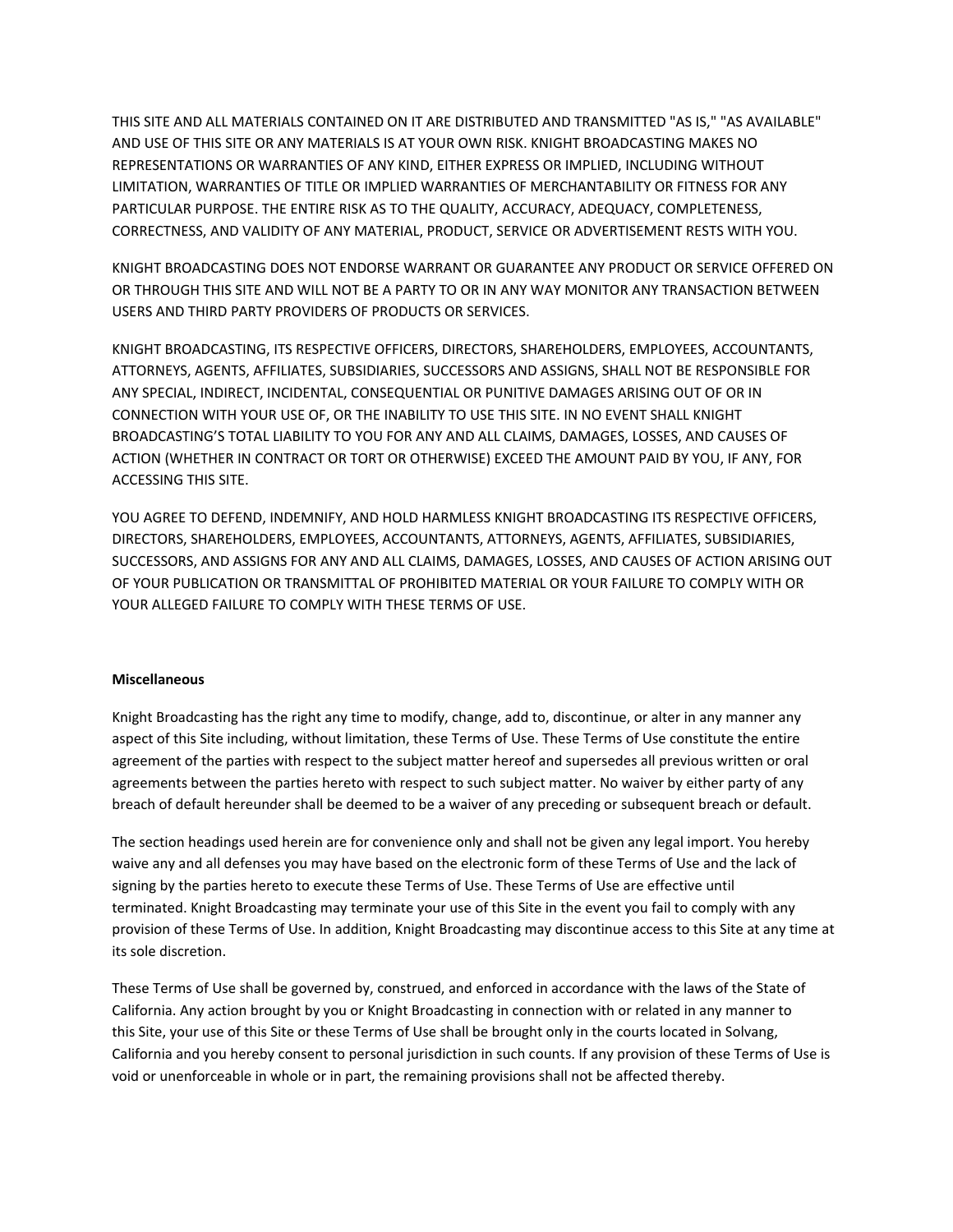THIS SITE AND ALL MATERIALS CONTAINED ON IT ARE DISTRIBUTED AND TRANSMITTED "AS IS," "AS AVAILABLE" AND USE OF THIS SITE OR ANY MATERIALS IS AT YOUR OWN RISK. KNIGHT BROADCASTING MAKES NO REPRESENTATIONS OR WARRANTIES OF ANY KIND, EITHER EXPRESS OR IMPLIED, INCLUDING WITHOUT LIMITATION, WARRANTIES OF TITLE OR IMPLIED WARRANTIES OF MERCHANTABILITY OR FITNESS FOR ANY PARTICULAR PURPOSE. THE ENTIRE RISK AS TO THE QUALITY, ACCURACY, ADEQUACY, COMPLETENESS, CORRECTNESS, AND VALIDITY OF ANY MATERIAL, PRODUCT, SERVICE OR ADVERTISEMENT RESTS WITH YOU.

KNIGHT BROADCASTING DOES NOT ENDORSE WARRANT OR GUARANTEE ANY PRODUCT OR SERVICE OFFERED ON OR THROUGH THIS SITE AND WILL NOT BE A PARTY TO OR IN ANY WAY MONITOR ANY TRANSACTION BETWEEN USERS AND THIRD PARTY PROVIDERS OF PRODUCTS OR SERVICES.

KNIGHT BROADCASTING, ITS RESPECTIVE OFFICERS, DIRECTORS, SHAREHOLDERS, EMPLOYEES, ACCOUNTANTS, ATTORNEYS, AGENTS, AFFILIATES, SUBSIDIARIES, SUCCESSORS AND ASSIGNS, SHALL NOT BE RESPONSIBLE FOR ANY SPECIAL, INDIRECT, INCIDENTAL, CONSEQUENTIAL OR PUNITIVE DAMAGES ARISING OUT OF OR IN CONNECTION WITH YOUR USE OF, OR THE INABILITY TO USE THIS SITE. IN NO EVENT SHALL KNIGHT BROADCASTING'S TOTAL LIABILITY TO YOU FOR ANY AND ALL CLAIMS, DAMAGES, LOSSES, AND CAUSES OF ACTION (WHETHER IN CONTRACT OR TORT OR OTHERWISE) EXCEED THE AMOUNT PAID BY YOU, IF ANY, FOR ACCESSING THIS SITE.

YOU AGREE TO DEFEND, INDEMNIFY, AND HOLD HARMLESS KNIGHT BROADCASTING ITS RESPECTIVE OFFICERS, DIRECTORS, SHAREHOLDERS, EMPLOYEES, ACCOUNTANTS, ATTORNEYS, AGENTS, AFFILIATES, SUBSIDIARIES, SUCCESSORS, AND ASSIGNS FOR ANY AND ALL CLAIMS, DAMAGES, LOSSES, AND CAUSES OF ACTION ARISING OUT OF YOUR PUBLICATION OR TRANSMITTAL OF PROHIBITED MATERIAL OR YOUR FAILURE TO COMPLY WITH OR YOUR ALLEGED FAILURE TO COMPLY WITH THESE TERMS OF USE.

# **Miscellaneous**

Knight Broadcasting has the right any time to modify, change, add to, discontinue, or alter in any manner any aspect of this Site including, without limitation, these Terms of Use. These Terms of Use constitute the entire agreement of the parties with respect to the subject matter hereof and supersedes all previous written or oral agreements between the parties hereto with respect to such subject matter. No waiver by either party of any breach of default hereunder shall be deemed to be a waiver of any preceding or subsequent breach or default.

The section headings used herein are for convenience only and shall not be given any legal import. You hereby waive any and all defenses you may have based on the electronic form of these Terms of Use and the lack of signing by the parties hereto to execute these Terms of Use. These Terms of Use are effective until terminated. Knight Broadcasting may terminate your use of this Site in the event you fail to comply with any provision of these Terms of Use. In addition, Knight Broadcasting may discontinue access to this Site at any time at its sole discretion.

These Terms of Use shall be governed by, construed, and enforced in accordance with the laws of the State of California. Any action brought by you or Knight Broadcasting in connection with or related in any manner to this Site, your use of this Site or these Terms of Use shall be brought only in the courts located in Solvang, California and you hereby consent to personal jurisdiction in such counts. If any provision of these Terms of Use is void or unenforceable in whole or in part, the remaining provisions shall not be affected thereby.